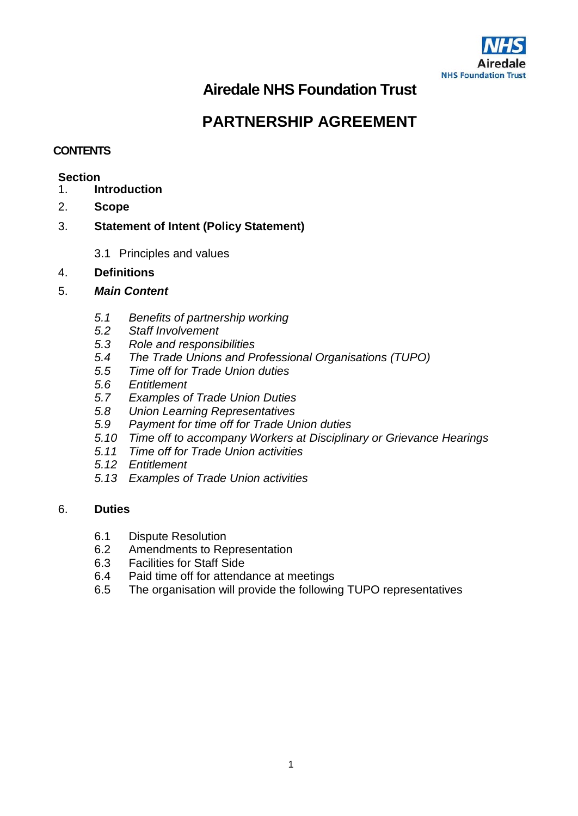

# **Airedale NHS Foundation Trust**

# **PARTNERSHIP AGREEMENT**

# **CONTENTS**

# **Section**<br>1. **In**

- 1. **Introduction**
- 2. **Scope**
- 3. **Statement of Intent (Policy Statement)**
	- 3.1 Principles and values
- 4. **Definitions**
- 5. *Main Content*
	- *5.1 Benefits of partnership working*
	- *5.2 Staff Involvement*
	- *5.3 Role and responsibilities*
	- *5.4 The Trade Unions and Professional Organisations (TUPO)*
	- *5.5 Time off for Trade Union duties*
	- *5.6 Entitlement*
	- *5.7 Examples of Trade Union Duties*
	- *5.8 Union Learning Representatives*
	- *5.9 Payment for time off for Trade Union duties*
	- *5.10 Time off to accompany Workers at Disciplinary or Grievance Hearings*
	- *5.11 Time off for Trade Union activities*
	- *5.12 Entitlement*
	- *5.13 Examples of Trade Union activities*

# 6. **Duties**

- 6.1 Dispute Resolution<br>6.2 Amendments to Re
- Amendments to Representation
- 6.3 Facilities for Staff Side
- 6.4 Paid time off for attendance at meetings
- 6.5 The organisation will provide the following TUPO representatives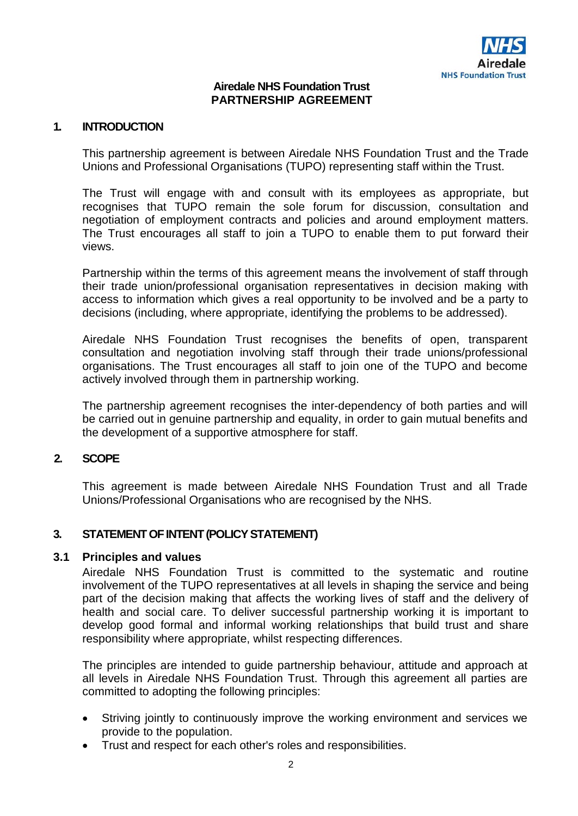#### **Airedale NHS Foundation Trust PARTNERSHIP AGREEMENT**

#### **1. INTRODUCTION**

This partnership agreement is between Airedale NHS Foundation Trust and the Trade Unions and Professional Organisations (TUPO) representing staff within the Trust.

The Trust will engage with and consult with its employees as appropriate, but recognises that TUPO remain the sole forum for discussion, consultation and negotiation of employment contracts and policies and around employment matters. The Trust encourages all staff to join a TUPO to enable them to put forward their views.

Partnership within the terms of this agreement means the involvement of staff through their trade union/professional organisation representatives in decision making with access to information which gives a real opportunity to be involved and be a party to decisions (including, where appropriate, identifying the problems to be addressed).

Airedale NHS Foundation Trust recognises the benefits of open, transparent consultation and negotiation involving staff through their trade unions/professional organisations. The Trust encourages all staff to join one of the TUPO and become actively involved through them in partnership working.

The partnership agreement recognises the inter-dependency of both parties and will be carried out in genuine partnership and equality, in order to gain mutual benefits and the development of a supportive atmosphere for staff.

# **2. SCOPE**

This agreement is made between Airedale NHS Foundation Trust and all Trade Unions/Professional Organisations who are recognised by the NHS.

# **3. STATEMENT OF INTENT (POLICY STATEMENT)**

#### **3.1 Principles and values**

Airedale NHS Foundation Trust is committed to the systematic and routine involvement of the TUPO representatives at all levels in shaping the service and being part of the decision making that affects the working lives of staff and the delivery of health and social care. To deliver successful partnership working it is important to develop good formal and informal working relationships that build trust and share responsibility where appropriate, whilst respecting differences.

The principles are intended to guide partnership behaviour, attitude and approach at all levels in Airedale NHS Foundation Trust. Through this agreement all parties are committed to adopting the following principles:

- Striving jointly to continuously improve the working environment and services we provide to the population.
- Trust and respect for each other's roles and responsibilities.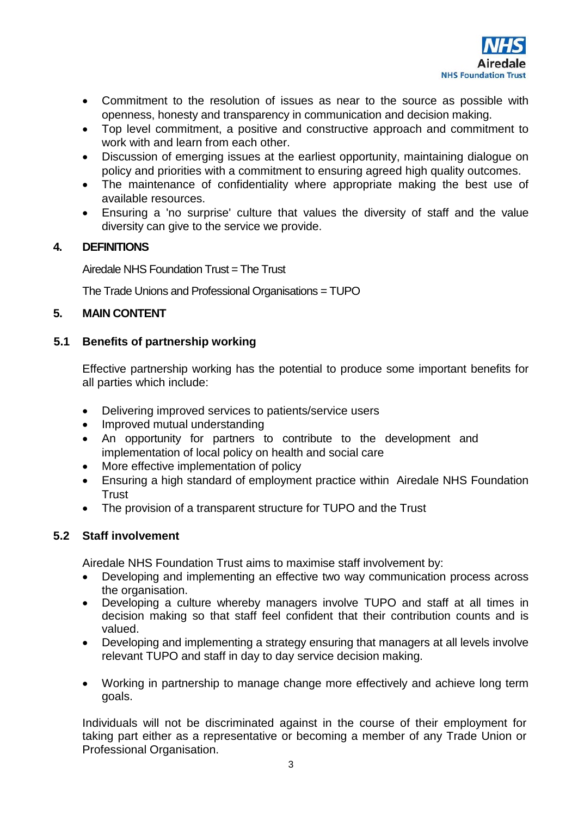

- Commitment to the resolution of issues as near to the source as possible with openness, honesty and transparency in communication and decision making.
- Top level commitment, a positive and constructive approach and commitment to work with and learn from each other.
- Discussion of emerging issues at the earliest opportunity, maintaining dialogue on policy and priorities with a commitment to ensuring agreed high quality outcomes.
- The maintenance of confidentiality where appropriate making the best use of available resources.
- Ensuring a 'no surprise' culture that values the diversity of staff and the value diversity can give to the service we provide.

# **4. DEFINITIONS**

Airedale NHS Foundation Trust = The Trust

The Trade Unions and Professional Organisations = TUPO

# **5. MAIN CONTENT**

# **5.1 Benefits of partnership working**

Effective partnership working has the potential to produce some important benefits for all parties which include:

- Delivering improved services to patients/service users
- Improved mutual understanding
- An opportunity for partners to contribute to the development and implementation of local policy on health and social care
- More effective implementation of policy
- Ensuring a high standard of employment practice within Airedale NHS Foundation **Trust**
- The provision of a transparent structure for TUPO and the Trust

# **5.2 Staff involvement**

Airedale NHS Foundation Trust aims to maximise staff involvement by:

- Developing and implementing an effective two way communication process across the organisation.
- Developing a culture whereby managers involve TUPO and staff at all times in decision making so that staff feel confident that their contribution counts and is valued.
- Developing and implementing a strategy ensuring that managers at all levels involve relevant TUPO and staff in day to day service decision making.
- Working in partnership to manage change more effectively and achieve long term goals.

Individuals will not be discriminated against in the course of their employment for taking part either as a representative or becoming a member of any Trade Union or Professional Organisation.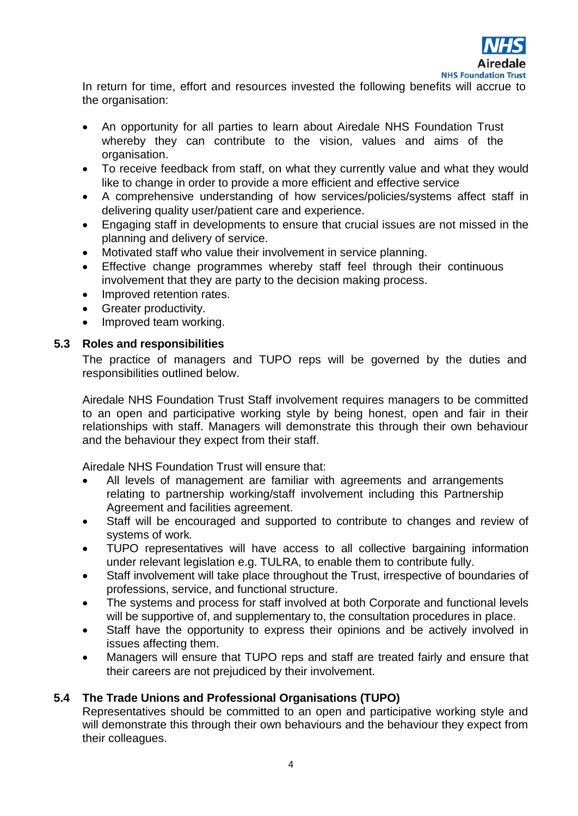

In return for time, effort and resources invested the following benefits will accrue to the organisation:

- An opportunity for all parties to learn about Airedale NHS Foundation Trust whereby they can contribute to the vision, values and aims of the organisation.
- To receive feedback from staff, on what they currently value and what they would like to change in order to provide a more efficient and effective service
- A comprehensive understanding of how services/policies/systems affect staff in delivering quality user/patient care and experience.
- Engaging staff in developments to ensure that crucial issues are not missed in the planning and delivery of service.
- Motivated staff who value their involvement in service planning.
- Effective change programmes whereby staff feel through their continuous involvement that they are party to the decision making process.
- Improved retention rates.
- Greater productivity.
- Improved team working.

#### **5.3 Roles and responsibilities**

The practice of managers and TUPO reps will be governed by the duties and responsibilities outlined below.

Airedale NHS Foundation Trust Staff involvement requires managers to be committed to an open and participative working style by being honest, open and fair in their relationships with staff. Managers will demonstrate this through their own behaviour and the behaviour they expect from their staff.

Airedale NHS Foundation Trust will ensure that:

- All levels of management are familiar with agreements and arrangements relating to partnership working/staff involvement including this Partnership Agreement and facilities agreement.
- Staff will be encouraged and supported to contribute to changes and review of systems of work*.*
- TUPO representatives will have access to all collective bargaining information under relevant legislation e.g. TULRA, to enable them to contribute fully.
- Staff involvement will take place throughout the Trust, irrespective of boundaries of professions, service, and functional structure.
- The systems and process for staff involved at both Corporate and functional levels will be supportive of, and supplementary to, the consultation procedures in place.
- Staff have the opportunity to express their opinions and be actively involved in issues affecting them.
- Managers will ensure that TUPO reps and staff are treated fairly and ensure that their careers are not prejudiced by their involvement.

# **5.4 The Trade Unions and Professional Organisations (TUPO)**

Representatives should be committed to an open and participative working style and will demonstrate this through their own behaviours and the behaviour they expect from their colleagues.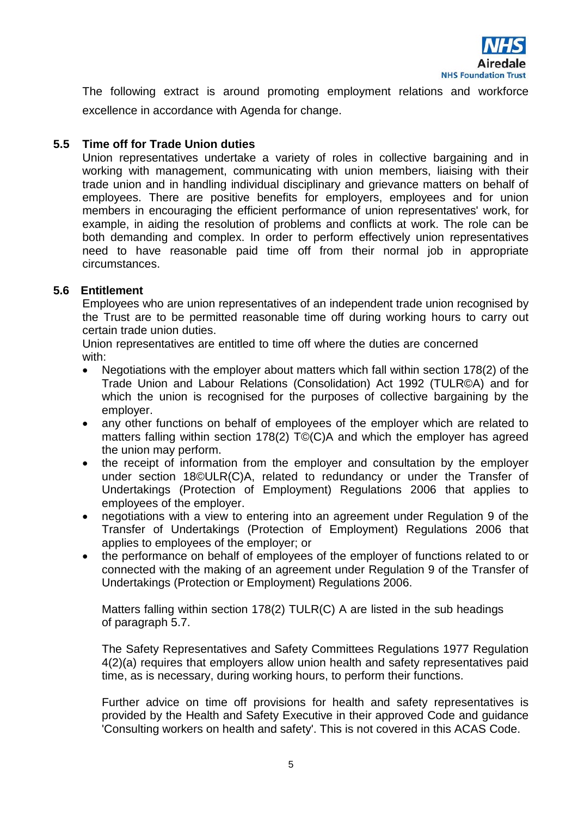

The following extract is around promoting employment relations and workforce excellence in accordance with Agenda for change.

# **5.5 Time off for Trade Union duties**

Union representatives undertake a variety of roles in collective bargaining and in working with management, communicating with union members, liaising with their trade union and in handling individual disciplinary and grievance matters on behalf of employees. There are positive benefits for employers, employees and for union members in encouraging the efficient performance of union representatives' work, for example, in aiding the resolution of problems and conflicts at work. The role can be both demanding and complex. In order to perform effectively union representatives need to have reasonable paid time off from their normal job in appropriate circumstances.

# **5.6 Entitlement**

Employees who are union representatives of an independent trade union recognised by the Trust are to be permitted reasonable time off during working hours to carry out certain trade union duties.

Union representatives are entitled to time off where the duties are concerned with:

- Negotiations with the employer about matters which fall within section 178(2) of the Trade Union and Labour Relations (Consolidation) Act 1992 (TULR©A) and for which the union is recognised for the purposes of collective bargaining by the employer.
- any other functions on behalf of employees of the employer which are related to matters falling within section 178(2) T©(C)A and which the employer has agreed the union may perform.
- the receipt of information from the employer and consultation by the employer under section 18©ULR(C)A, related to redundancy or under the Transfer of Undertakings (Protection of Employment) Regulations 2006 that applies to employees of the employer.
- negotiations with a view to entering into an agreement under Regulation 9 of the Transfer of Undertakings (Protection of Employment) Regulations 2006 that applies to employees of the employer; or
- the performance on behalf of employees of the employer of functions related to or connected with the making of an agreement under Regulation 9 of the Transfer of Undertakings (Protection or Employment) Regulations 2006.

Matters falling within section 178(2) TULR(C) A are listed in the sub headings of paragraph 5.7.

The Safety Representatives and Safety Committees Regulations 1977 Regulation 4(2)(a) requires that employers allow union health and safety representatives paid time, as is necessary, during working hours, to perform their functions.

Further advice on time off provisions for health and safety representatives is provided by the Health and Safety Executive in their approved Code and guidance 'Consulting workers on health and safety'. This is not covered in this ACAS Code.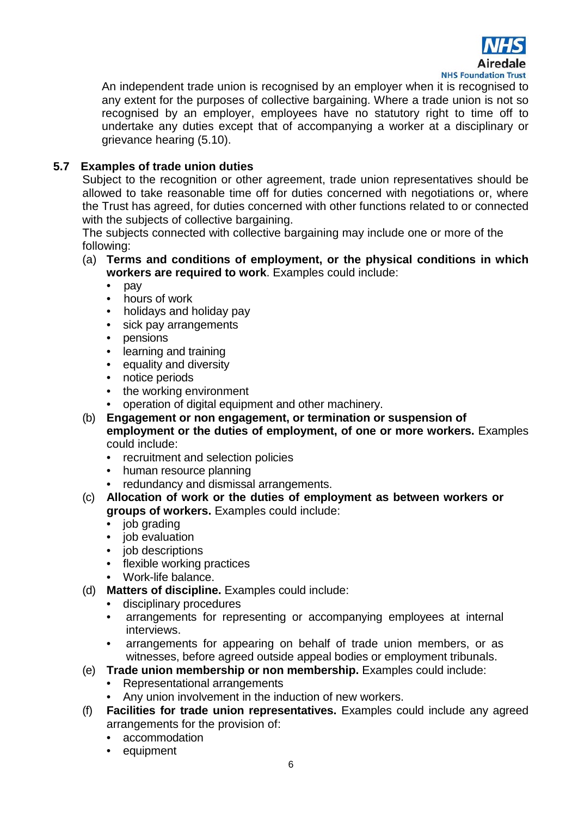

An independent trade union is recognised by an employer when it is recognised to any extent for the purposes of collective bargaining. Where a trade union is not so recognised by an employer, employees have no statutory right to time off to undertake any duties except that of accompanying a worker at a disciplinary or grievance hearing (5.10).

# **5.7 Examples of trade union duties**

Subject to the recognition or other agreement, trade union representatives should be allowed to take reasonable time off for duties concerned with negotiations or, where the Trust has agreed, for duties concerned with other functions related to or connected with the subjects of collective bargaining.

The subjects connected with collective bargaining may include one or more of the following:

- (a) **Terms and conditions of employment, or the physical conditions in which workers are required to work**. Examples could include:
	- pay
	- hours of work
	- holidays and holiday pay
	- sick pay arrangements
	- pensions
	- learning and training
	- equality and diversity
	- notice periods
	- the working environment
	- operation of digital equipment and other machinery.
- (b) **Engagement or non engagement, or termination or suspension of employment or the duties of employment, of one or more workers.** Examples could include:
	- recruitment and selection policies
	- human resource planning
	- redundancy and dismissal arrangements.
- (c) **Allocation of work or the duties of employment as between workers or groups of workers.** Examples could include:
	- job grading
	- job evaluation
	- job descriptions
	- flexible working practices
	- Work-life balance.
- (d) **Matters of discipline.** Examples could include:
	- disciplinary procedures
	- arrangements for representing or accompanying employees at internal interviews.
	- arrangements for appearing on behalf of trade union members, or as witnesses, before agreed outside appeal bodies or employment tribunals.
- (e) **Trade union membership or non membership.** Examples could include:
	- Representational arrangements
	- Any union involvement in the induction of new workers.
- (f) **Facilities for trade union representatives.** Examples could include any agreed arrangements for the provision of:
	- accommodation
	- equipment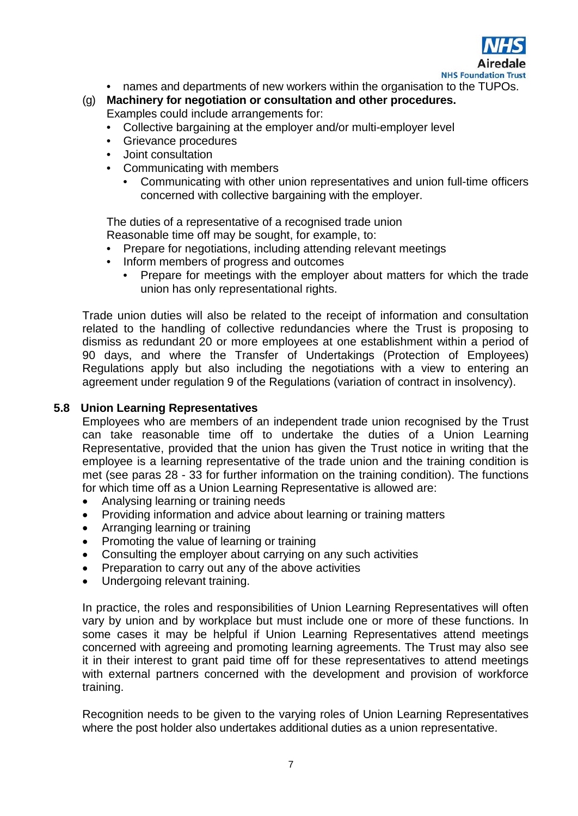

- names and departments of new workers within the organisation to the TUPOs.
- (g) **Machinery for negotiation or consultation and other procedures.**  Examples could include arrangements for:
	- Collective bargaining at the employer and/or multi-employer level
	- Grievance procedures
	- Joint consultation
	- Communicating with members
		- Communicating with other union representatives and union full-time officers concerned with collective bargaining with the employer.

The duties of a representative of a recognised trade union

Reasonable time off may be sought, for example, to:

- Prepare for negotiations, including attending relevant meetings
- Inform members of progress and outcomes
	- Prepare for meetings with the employer about matters for which the trade union has only representational rights.

Trade union duties will also be related to the receipt of information and consultation related to the handling of collective redundancies where the Trust is proposing to dismiss as redundant 20 or more employees at one establishment within a period of 90 days, and where the Transfer of Undertakings (Protection of Employees) Regulations apply but also including the negotiations with a view to entering an agreement under regulation 9 of the Regulations (variation of contract in insolvency).

# **5.8 Union Learning Representatives**

Employees who are members of an independent trade union recognised by the Trust can take reasonable time off to undertake the duties of a Union Learning Representative, provided that the union has given the Trust notice in writing that the employee is a learning representative of the trade union and the training condition is met (see paras 28 - 33 for further information on the training condition). The functions for which time off as a Union Learning Representative is allowed are:

- Analysing learning or training needs
- Providing information and advice about learning or training matters
- Arranging learning or training
- Promoting the value of learning or training
- Consulting the employer about carrying on any such activities
- Preparation to carry out any of the above activities
- Undergoing relevant training.

In practice, the roles and responsibilities of Union Learning Representatives will often vary by union and by workplace but must include one or more of these functions. In some cases it may be helpful if Union Learning Representatives attend meetings concerned with agreeing and promoting learning agreements. The Trust may also see it in their interest to grant paid time off for these representatives to attend meetings with external partners concerned with the development and provision of workforce training.

Recognition needs to be given to the varying roles of Union Learning Representatives where the post holder also undertakes additional duties as a union representative.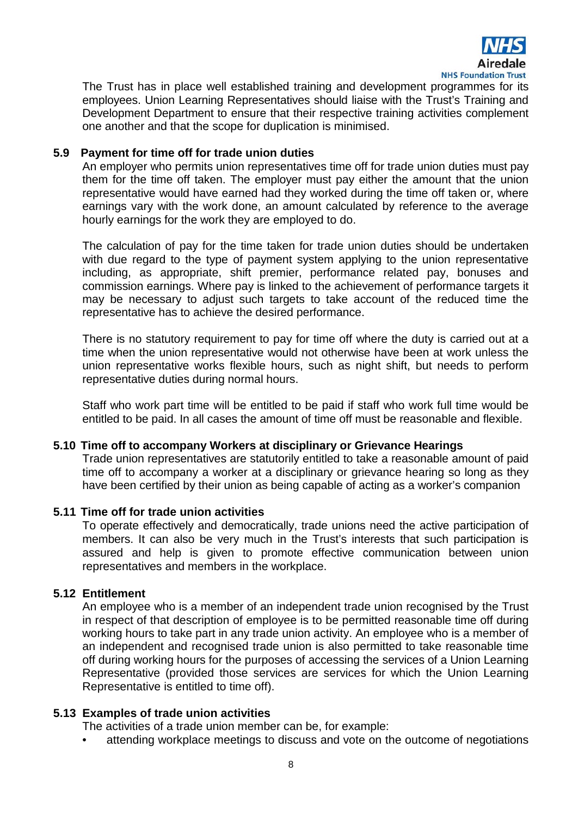

The Trust has in place well established training and development programmes for its employees. Union Learning Representatives should liaise with the Trust's Training and Development Department to ensure that their respective training activities complement one another and that the scope for duplication is minimised.

# **5.9 Payment for time off for trade union duties**

An employer who permits union representatives time off for trade union duties must pay them for the time off taken. The employer must pay either the amount that the union representative would have earned had they worked during the time off taken or, where earnings vary with the work done, an amount calculated by reference to the average hourly earnings for the work they are employed to do.

The calculation of pay for the time taken for trade union duties should be undertaken with due regard to the type of payment system applying to the union representative including, as appropriate, shift premier, performance related pay, bonuses and commission earnings. Where pay is linked to the achievement of performance targets it may be necessary to adjust such targets to take account of the reduced time the representative has to achieve the desired performance.

There is no statutory requirement to pay for time off where the duty is carried out at a time when the union representative would not otherwise have been at work unless the union representative works flexible hours, such as night shift, but needs to perform representative duties during normal hours.

Staff who work part time will be entitled to be paid if staff who work full time would be entitled to be paid. In all cases the amount of time off must be reasonable and flexible.

# **5.10 Time off to accompany Workers at disciplinary or Grievance Hearings**

Trade union representatives are statutorily entitled to take a reasonable amount of paid time off to accompany a worker at a disciplinary or grievance hearing so long as they have been certified by their union as being capable of acting as a worker's companion

# **5.11 Time off for trade union activities**

To operate effectively and democratically, trade unions need the active participation of members. It can also be very much in the Trust's interests that such participation is assured and help is given to promote effective communication between union representatives and members in the workplace.

# **5.12 Entitlement**

An employee who is a member of an independent trade union recognised by the Trust in respect of that description of employee is to be permitted reasonable time off during working hours to take part in any trade union activity. An employee who is a member of an independent and recognised trade union is also permitted to take reasonable time off during working hours for the purposes of accessing the services of a Union Learning Representative (provided those services are services for which the Union Learning Representative is entitled to time off).

# **5.13 Examples of trade union activities**

The activities of a trade union member can be, for example:

attending workplace meetings to discuss and vote on the outcome of negotiations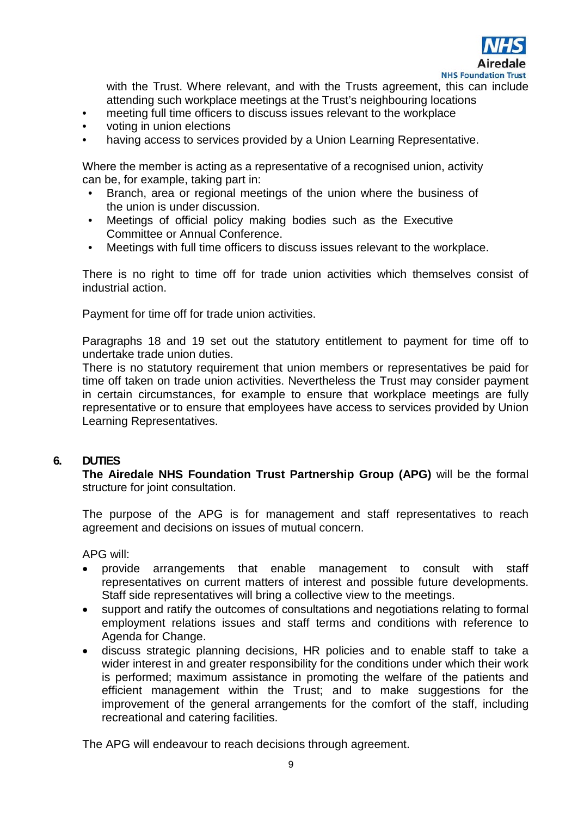

with the Trust. Where relevant, and with the Trusts agreement, this can include attending such workplace meetings at the Trust's neighbouring locations

- meeting full time officers to discuss issues relevant to the workplace
- voting in union elections
- having access to services provided by a Union Learning Representative.

Where the member is acting as a representative of a recognised union, activity can be, for example, taking part in:

- Branch, area or regional meetings of the union where the business of the union is under discussion.
- Meetings of official policy making bodies such as the Executive Committee or Annual Conference.
- Meetings with full time officers to discuss issues relevant to the workplace.

There is no right to time off for trade union activities which themselves consist of industrial action.

Payment for time off for trade union activities.

Paragraphs 18 and 19 set out the statutory entitlement to payment for time off to undertake trade union duties.

There is no statutory requirement that union members or representatives be paid for time off taken on trade union activities. Nevertheless the Trust may consider payment in certain circumstances, for example to ensure that workplace meetings are fully representative or to ensure that employees have access to services provided by Union Learning Representatives.

# **6. DUTIES**

**The Airedale NHS Foundation Trust Partnership Group (APG)** will be the formal structure for joint consultation.

The purpose of the APG is for management and staff representatives to reach agreement and decisions on issues of mutual concern.

APG will:

- provide arrangements that enable management to consult with staff representatives on current matters of interest and possible future developments. Staff side representatives will bring a collective view to the meetings.
- support and ratify the outcomes of consultations and negotiations relating to formal employment relations issues and staff terms and conditions with reference to Agenda for Change.
- discuss strategic planning decisions, HR policies and to enable staff to take a wider interest in and greater responsibility for the conditions under which their work is performed; maximum assistance in promoting the welfare of the patients and efficient management within the Trust; and to make suggestions for the improvement of the general arrangements for the comfort of the staff, including recreational and catering facilities.

The APG will endeavour to reach decisions through agreement.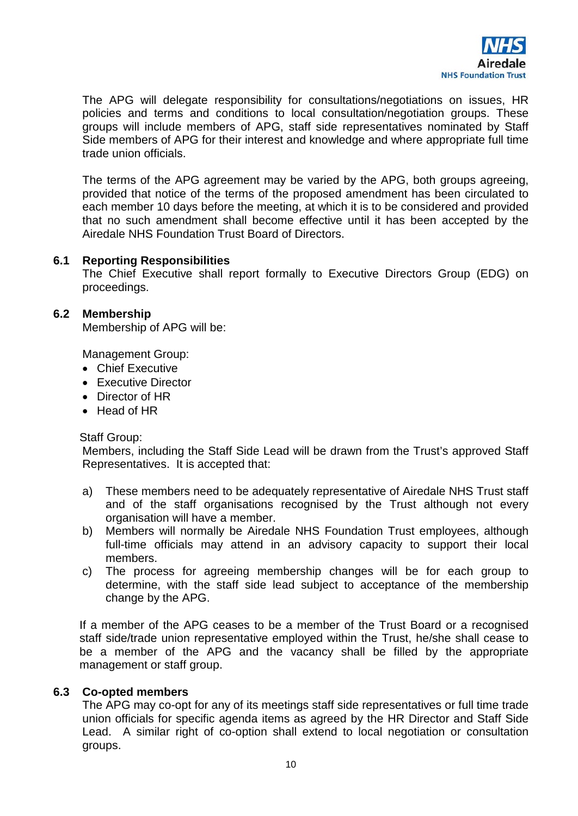

The APG will delegate responsibility for consultations/negotiations on issues, HR policies and terms and conditions to local consultation/negotiation groups. These groups will include members of APG, staff side representatives nominated by Staff Side members of APG for their interest and knowledge and where appropriate full time trade union officials.

The terms of the APG agreement may be varied by the APG, both groups agreeing, provided that notice of the terms of the proposed amendment has been circulated to each member 10 days before the meeting, at which it is to be considered and provided that no such amendment shall become effective until it has been accepted by the Airedale NHS Foundation Trust Board of Directors.

#### **6.1 Reporting Responsibilities**

The Chief Executive shall report formally to Executive Directors Group (EDG) on proceedings.

#### **6.2 Membership**

Membership of APG will be:

Management Group:

- Chief Executive
- Executive Director
- Director of HR
- Head of HR

#### Staff Group:

Members, including the Staff Side Lead will be drawn from the Trust's approved Staff Representatives. It is accepted that:

- a) These members need to be adequately representative of Airedale NHS Trust staff and of the staff organisations recognised by the Trust although not every organisation will have a member.
- b) Members will normally be Airedale NHS Foundation Trust employees, although full-time officials may attend in an advisory capacity to support their local members.
- c) The process for agreeing membership changes will be for each group to determine, with the staff side lead subject to acceptance of the membership change by the APG.

If a member of the APG ceases to be a member of the Trust Board or a recognised staff side/trade union representative employed within the Trust, he/she shall cease to be a member of the APG and the vacancy shall be filled by the appropriate management or staff group.

#### **6.3 Co-opted members**

The APG may co-opt for any of its meetings staff side representatives or full time trade union officials for specific agenda items as agreed by the HR Director and Staff Side Lead. A similar right of co-option shall extend to local negotiation or consultation groups.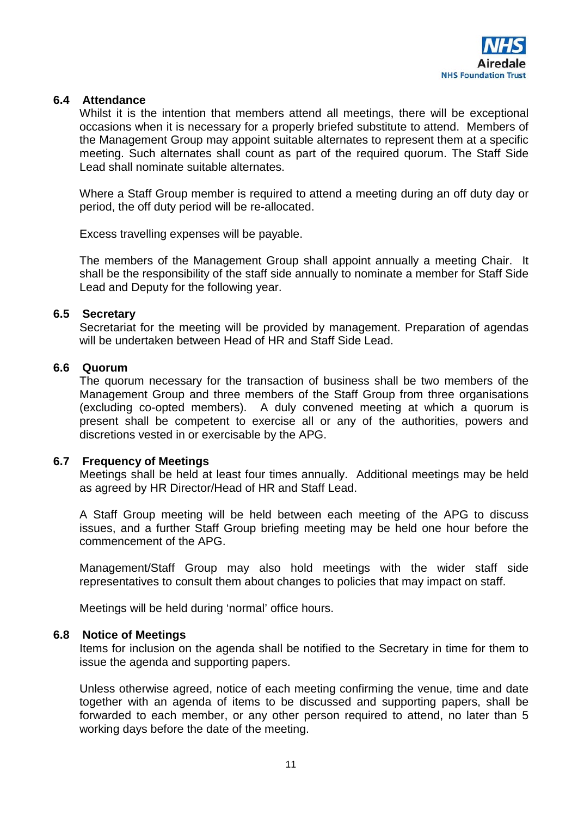

# **6.4 Attendance**

Whilst it is the intention that members attend all meetings, there will be exceptional occasions when it is necessary for a properly briefed substitute to attend. Members of the Management Group may appoint suitable alternates to represent them at a specific meeting. Such alternates shall count as part of the required quorum. The Staff Side Lead shall nominate suitable alternates.

Where a Staff Group member is required to attend a meeting during an off duty day or period, the off duty period will be re-allocated.

Excess travelling expenses will be payable.

The members of the Management Group shall appoint annually a meeting Chair. It shall be the responsibility of the staff side annually to nominate a member for Staff Side Lead and Deputy for the following year.

#### **6.5 Secretary**

Secretariat for the meeting will be provided by management. Preparation of agendas will be undertaken between Head of HR and Staff Side Lead.

#### **6.6 Quorum**

The quorum necessary for the transaction of business shall be two members of the Management Group and three members of the Staff Group from three organisations (excluding co-opted members). A duly convened meeting at which a quorum is present shall be competent to exercise all or any of the authorities, powers and discretions vested in or exercisable by the APG.

# **6.7 Frequency of Meetings**

Meetings shall be held at least four times annually. Additional meetings may be held as agreed by HR Director/Head of HR and Staff Lead.

A Staff Group meeting will be held between each meeting of the APG to discuss issues, and a further Staff Group briefing meeting may be held one hour before the commencement of the APG.

Management/Staff Group may also hold meetings with the wider staff side representatives to consult them about changes to policies that may impact on staff.

Meetings will be held during 'normal' office hours.

#### **6.8 Notice of Meetings**

Items for inclusion on the agenda shall be notified to the Secretary in time for them to issue the agenda and supporting papers.

Unless otherwise agreed, notice of each meeting confirming the venue, time and date together with an agenda of items to be discussed and supporting papers, shall be forwarded to each member, or any other person required to attend, no later than 5 working days before the date of the meeting.